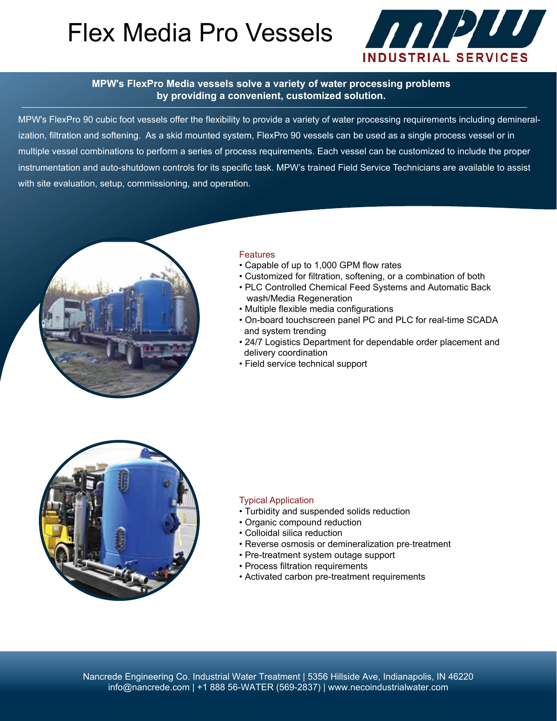# Flex Media Pro Vessels 2002/200



#### **MPW's FlexPro Media vessels solve a variety of water processing problems by providing a convenient, customized solution.**

MPW's FlexPro 90 cubic foot vessels offer the flexibility to provide a variety of water processing requirements including demineralization, filtration and softening. As a skid mounted system, FlexPro 90 vessels can be used as a single process vessel or in multiple vessel combinations to perform a series of process requirements. Each vessel can be customized to include the proper instrumentation and auto-shutdown controls for its specific task. MPW's trained Field Service Technicians are available to assist with site evaluation, setup, commissioning, and operation.



#### **Features**

- Capable of up to 1,000 GPM flow rates
- Customized for filtration, softening, or a combination of both
- PLC Controlled Chemical Feed Systems and Automatic Back wash/Media Regeneration
- Multiple flexible media configurations
- On-board touchscreen panel PC and PLC for real-time SCADA and system trending
- 24/7 Logistics Department for dependable order placement and delivery coordination
- Field service technical support



#### Typical Application

- Turbidity and suspended solids reduction
- Organic compound reduction
- Colloidal silica reduction
- Reverse osmosis or demineralization pre‐treatment
- Pre-treatment system outage support
- Process filtration requirements
- Activated carbon pre-treatment requirements

Nancrede Engineering Co. Industrial Water Treatment | 5356 Hillside Ave, Indianapolis, IN 46220 info@nancrede.com | +1 888 56-WATER (569-2837) | www.necoindustrialwater.com